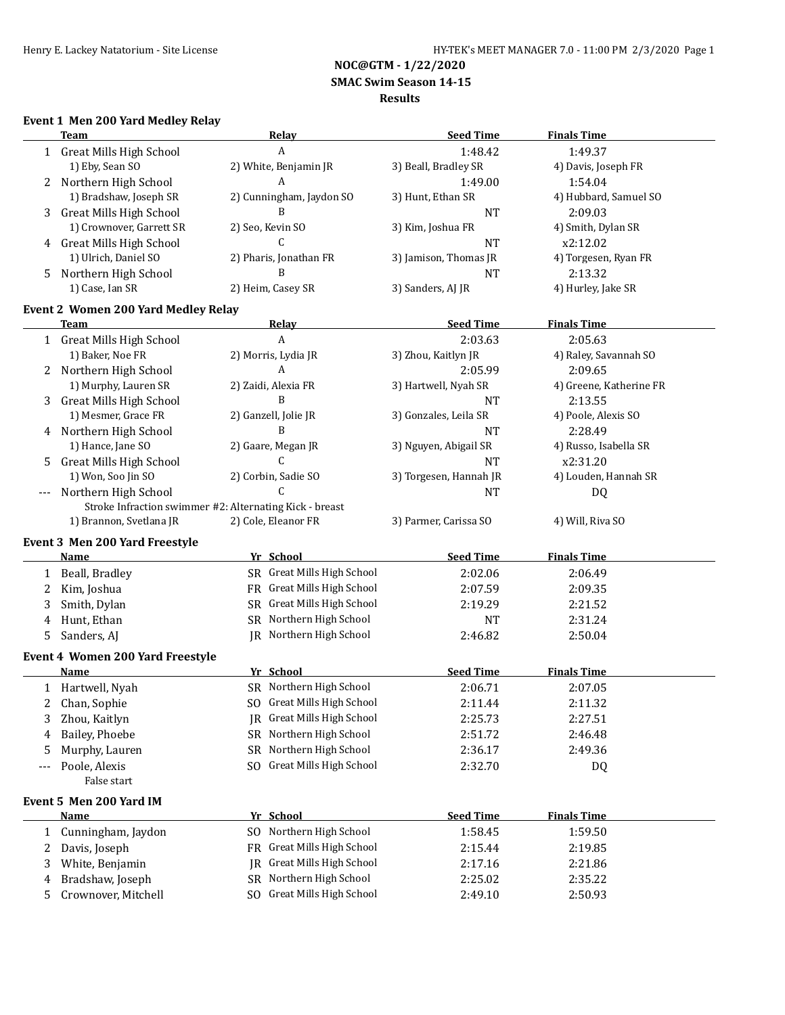**NOC@GTM - 1/22/2020**

 **SMAC Swim Season 14-15**

#### **Results**

## **Event 1 Men 200 Yard Medley Relay**

|              | <b>Team</b>                                             |    | <b>Relay</b>                      | <b>Seed Time</b>       | <b>Finals Time</b>      |
|--------------|---------------------------------------------------------|----|-----------------------------------|------------------------|-------------------------|
| 1            | <b>Great Mills High School</b>                          |    | A                                 | 1:48.42                | 1:49.37                 |
|              | 1) Eby, Sean SO                                         |    | 2) White, Benjamin JR             | 3) Beall, Bradley SR   | 4) Davis, Joseph FR     |
| 2            | Northern High School                                    |    | A                                 | 1:49.00                | 1:54.04                 |
|              | 1) Bradshaw, Joseph SR                                  |    | 2) Cunningham, Jaydon SO          | 3) Hunt, Ethan SR      | 4) Hubbard, Samuel SO   |
| 3            | <b>Great Mills High School</b>                          |    | B                                 | <b>NT</b>              | 2:09.03                 |
|              | 1) Crownover, Garrett SR                                |    | 2) Seo, Kevin SO                  | 3) Kim, Joshua FR      | 4) Smith, Dylan SR      |
| 4            | <b>Great Mills High School</b>                          |    | C                                 | <b>NT</b>              | x2:12.02                |
|              | 1) Ulrich, Daniel SO                                    |    | 2) Pharis, Jonathan FR            | 3) Jamison, Thomas JR  | 4) Torgesen, Ryan FR    |
| 5            | Northern High School                                    |    | B                                 | <b>NT</b>              | 2:13.32                 |
|              | 1) Case, Ian SR                                         |    | 2) Heim, Casey SR                 | 3) Sanders, AJ JR      | 4) Hurley, Jake SR      |
|              | <b>Event 2 Women 200 Yard Medley Relay</b>              |    |                                   |                        |                         |
|              | Team                                                    |    | <b>Relay</b>                      | <b>Seed Time</b>       | <b>Finals Time</b>      |
|              | 1 Great Mills High School                               |    | $\overline{A}$                    | 2:03.63                | 2:05.63                 |
|              | 1) Baker, Noe FR                                        |    | 2) Morris, Lydia JR               | 3) Zhou, Kaitlyn JR    | 4) Raley, Savannah SO   |
| 2            | Northern High School                                    |    | A                                 | 2:05.99                | 2:09.65                 |
|              | 1) Murphy, Lauren SR                                    |    | 2) Zaidi, Alexia FR               | 3) Hartwell, Nyah SR   | 4) Greene, Katherine FR |
| 3            | <b>Great Mills High School</b>                          |    | B                                 | <b>NT</b>              | 2:13.55                 |
|              | 1) Mesmer, Grace FR                                     |    | 2) Ganzell, Jolie JR              | 3) Gonzales, Leila SR  | 4) Poole, Alexis SO     |
| 4            | Northern High School                                    |    | B                                 | <b>NT</b>              | 2:28.49                 |
|              | 1) Hance, Jane SO                                       |    | 2) Gaare, Megan JR                | 3) Nguyen, Abigail SR  | 4) Russo, Isabella SR   |
| 5            | <b>Great Mills High School</b>                          |    | C                                 | <b>NT</b>              | x2:31.20                |
|              | 1) Won, Soo Jin SO                                      |    | 2) Corbin, Sadie SO               | 3) Torgesen, Hannah JR | 4) Louden, Hannah SR    |
| ---          | Northern High School                                    |    | C.                                | <b>NT</b>              | DQ                      |
|              | Stroke Infraction swimmer #2: Alternating Kick - breast |    |                                   |                        |                         |
|              | 1) Brannon, Svetlana JR                                 |    | 2) Cole, Eleanor FR               | 3) Parmer, Carissa SO  | 4) Will, Riva SO        |
|              | Event 3 Men 200 Yard Freestyle                          |    |                                   |                        |                         |
|              | <b>Name</b>                                             |    | Yr School                         | <b>Seed Time</b>       | <b>Finals Time</b>      |
| $\mathbf{1}$ | Beall, Bradley                                          |    | SR Great Mills High School        | 2:02.06                | 2:06.49                 |
| 2            | Kim, Joshua                                             |    | FR Great Mills High School        | 2:07.59                | 2:09.35                 |
| 3            | Smith, Dylan                                            |    | SR Great Mills High School        | 2:19.29                | 2:21.52                 |
| 4            | Hunt, Ethan                                             |    | SR Northern High School           | <b>NT</b>              | 2:31.24                 |
| 5            | Sanders, AJ                                             |    | JR Northern High School           | 2:46.82                | 2:50.04                 |
|              |                                                         |    |                                   |                        |                         |
|              | Event 4 Women 200 Yard Freestyle<br><b>Name</b>         |    | Yr School                         | <b>Seed Time</b>       | <b>Finals Time</b>      |
|              | 1 Hartwell, Nyah                                        |    | SR Northern High School           | 2:06.71                | 2:07.05                 |
|              | 2 Chan, Sophie                                          |    | SO Great Mills High School        | 2:11.44                | 2:11.32                 |
|              |                                                         |    | <b>IR</b> Great Mills High School |                        |                         |
| 3            | Zhou, Kaitlyn                                           |    | SR Northern High School           | 2:25.73                | 2:27.51                 |
| 4            | Bailey, Phoebe                                          |    | SR Northern High School           | 2:51.72                | 2:46.48                 |
| 5            | Murphy, Lauren                                          |    |                                   | 2:36.17                | 2:49.36                 |
| ---          | Poole, Alexis<br>False start                            |    | SO Great Mills High School        | 2:32.70                | DQ                      |
|              | Event 5 Men 200 Yard IM                                 |    |                                   |                        |                         |
|              | <b>Name</b>                                             |    | Yr School                         | <b>Seed Time</b>       | <b>Finals Time</b>      |
| 1            | Cunningham, Jaydon                                      |    | SO Northern High School           | 1:58.45                | 1:59.50                 |
| 2            | Davis, Joseph                                           |    | FR Great Mills High School        | 2:15.44                | 2:19.85                 |
| 3            | White, Benjamin                                         | IR | <b>Great Mills High School</b>    | 2:17.16                | 2:21.86                 |
| 4            | Bradshaw, Joseph                                        |    | SR Northern High School           | 2:25.02                | 2:35.22                 |
| 5            | Crownover, Mitchell                                     |    | SO Great Mills High School        | 2:49.10                | 2:50.93                 |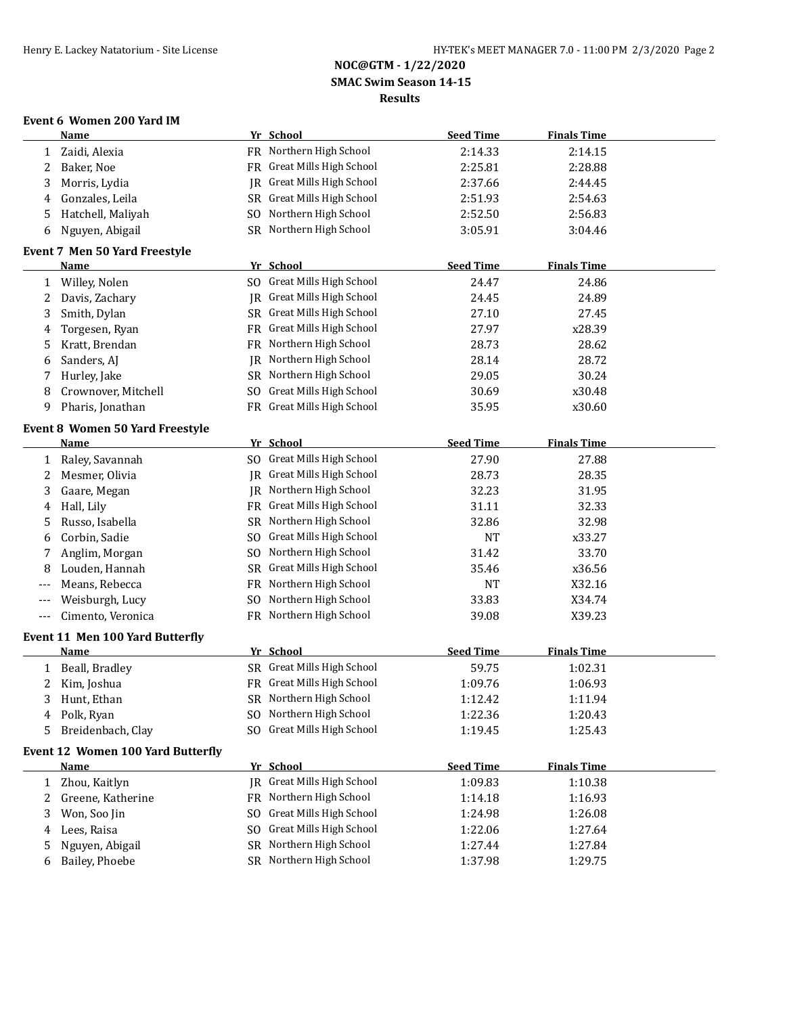## **NOC@GTM - 1/22/2020 SMAC Swim Season 14-15 Results**

# **Event 6 Women 200 Yard IM**

|     | Name                                   |           | Yr School                      | <b>Seed Time</b> | <b>Finals Time</b> |  |
|-----|----------------------------------------|-----------|--------------------------------|------------------|--------------------|--|
| 1   | Zaidi, Alexia                          |           | FR Northern High School        | 2:14.33          | 2:14.15            |  |
| 2   | Baker, Noe                             |           | FR Great Mills High School     | 2:25.81          | 2:28.88            |  |
| 3   | Morris, Lydia                          | IR        | Great Mills High School        | 2:37.66          | 2:44.45            |  |
| 4   | Gonzales, Leila                        |           | SR Great Mills High School     | 2:51.93          | 2:54.63            |  |
| 5   | Hatchell, Maliyah                      | SO.       | Northern High School           | 2:52.50          | 2:56.83            |  |
| 6   | Nguyen, Abigail                        |           | SR Northern High School        | 3:05.91          | 3:04.46            |  |
|     | Event 7 Men 50 Yard Freestyle          |           |                                |                  |                    |  |
|     | <b>Name</b>                            |           | Yr School                      | <b>Seed Time</b> | <b>Finals Time</b> |  |
| 1   | Willey, Nolen                          |           | SO Great Mills High School     | 24.47            | 24.86              |  |
| 2   | Davis, Zachary                         |           | JR Great Mills High School     | 24.45            | 24.89              |  |
| 3   | Smith, Dylan                           |           | SR Great Mills High School     | 27.10            | 27.45              |  |
| 4   | Torgesen, Ryan                         |           | FR Great Mills High School     | 27.97            | x28.39             |  |
| 5   | Kratt, Brendan                         |           | FR Northern High School        | 28.73            | 28.62              |  |
| 6   | Sanders, AJ                            | IR        | Northern High School           | 28.14            | 28.72              |  |
| 7   | Hurley, Jake                           |           | SR Northern High School        | 29.05            | 30.24              |  |
| 8   | Crownover, Mitchell                    | SO.       | <b>Great Mills High School</b> | 30.69            | x30.48             |  |
| 9   | Pharis, Jonathan                       |           | FR Great Mills High School     | 35.95            | x30.60             |  |
|     | <b>Event 8 Women 50 Yard Freestyle</b> |           |                                |                  |                    |  |
|     | Name                                   |           | Yr School                      | <b>Seed Time</b> | <b>Finals Time</b> |  |
| 1   | Raley, Savannah                        |           | SO Great Mills High School     | 27.90            | 27.88              |  |
| 2   | Mesmer, Olivia                         |           | JR Great Mills High School     | 28.73            | 28.35              |  |
| 3   | Gaare, Megan                           |           | JR Northern High School        | 32.23            | 31.95              |  |
| 4   | Hall, Lily                             |           | FR Great Mills High School     | 31.11            | 32.33              |  |
| 5   | Russo, Isabella                        | SR        | Northern High School           | 32.86            | 32.98              |  |
| 6   | Corbin, Sadie                          | SO.       | <b>Great Mills High School</b> | <b>NT</b>        | x33.27             |  |
|     | Anglim, Morgan                         | SO.       | Northern High School           | 31.42            | 33.70              |  |
| 8   | Louden, Hannah                         | SR        | <b>Great Mills High School</b> | 35.46            | x36.56             |  |
|     | Means, Rebecca                         | <b>FR</b> | Northern High School           | <b>NT</b>        | X32.16             |  |
| --- | Weisburgh, Lucy                        | SO.       | Northern High School           | 33.83            | X34.74             |  |
| --- | Cimento, Veronica                      |           | FR Northern High School        | 39.08            | X39.23             |  |
|     | Event 11 Men 100 Yard Butterfly        |           |                                |                  |                    |  |
|     | Name                                   |           | Yr School                      | <b>Seed Time</b> | <b>Finals Time</b> |  |
| 1   | Beall, Bradley                         |           | SR Great Mills High School     | 59.75            | 1:02.31            |  |
| 2   | Kim, Joshua                            |           | FR Great Mills High School     | 1:09.76          | 1:06.93            |  |
| 3   | Hunt, Ethan                            |           | SR Northern High School        | 1:12.42          | 1:11.94            |  |
| 4   | Polk, Ryan                             |           | SO Northern High School        | 1:22.36          | 1:20.43            |  |
| 5   | Breidenbach, Clay                      |           | SO Great Mills High School     | 1:19.45          | 1:25.43            |  |
|     | Event 12 Women 100 Yard Butterfly      |           |                                |                  |                    |  |
|     | <b>Name</b>                            |           | Yr School                      | <b>Seed Time</b> | <b>Finals Time</b> |  |
| 1   | Zhou, Kaitlyn                          |           | JR Great Mills High School     | 1:09.83          | 1:10.38            |  |
| 2   | Greene, Katherine                      |           | FR Northern High School        | 1:14.18          | 1:16.93            |  |
| 3   | Won, Soo Jin                           |           | SO Great Mills High School     | 1:24.98          | 1:26.08            |  |
| 4   | Lees, Raisa                            | SO.       | Great Mills High School        | 1:22.06          | 1:27.64            |  |
| 5   | Nguyen, Abigail                        | SR        | Northern High School           | 1:27.44          | 1:27.84            |  |
| 6   | Bailey, Phoebe                         |           | SR Northern High School        | 1:37.98          | 1:29.75            |  |
|     |                                        |           |                                |                  |                    |  |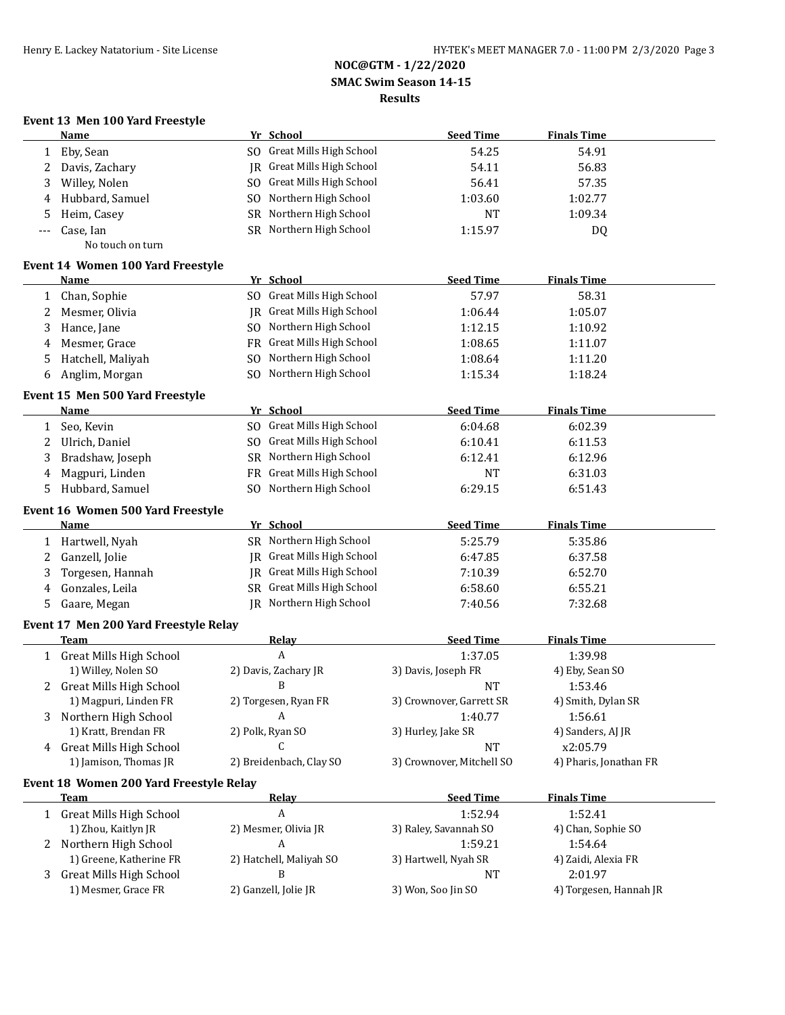## **NOC@GTM - 1/22/2020 SMAC Swim Season 14-15 Results**

| Event 13 Men 100 Yard Freestyle |  |  |  |  |
|---------------------------------|--|--|--|--|
|---------------------------------|--|--|--|--|

|              | Name                                    |     | Yr School                      | <b>Seed Time</b>          | <b>Finals Time</b>     |  |
|--------------|-----------------------------------------|-----|--------------------------------|---------------------------|------------------------|--|
| 1            | Eby, Sean                               |     | SO Great Mills High School     | 54.25                     | 54.91                  |  |
| 2            | Davis, Zachary                          |     | JR Great Mills High School     | 54.11                     | 56.83                  |  |
| 3            | Willey, Nolen                           |     | SO Great Mills High School     | 56.41                     | 57.35                  |  |
| 4            | Hubbard, Samuel                         |     | SO Northern High School        | 1:03.60                   | 1:02.77                |  |
| 5            | Heim, Casey                             |     | SR Northern High School        | NT                        | 1:09.34                |  |
|              | Case, Ian                               |     | SR Northern High School        | 1:15.97                   | DQ                     |  |
|              | No touch on turn                        |     |                                |                           |                        |  |
|              | Event 14 Women 100 Yard Freestyle       |     |                                |                           |                        |  |
|              | <b>Name</b>                             |     | Yr School                      | <b>Seed Time</b>          | <b>Finals Time</b>     |  |
| $\mathbf{1}$ | Chan, Sophie                            |     | SO Great Mills High School     | 57.97                     | 58.31                  |  |
| 2            | Mesmer, Olivia                          |     | JR Great Mills High School     | 1:06.44                   | 1:05.07                |  |
| 3            | Hance, Jane                             |     | SO Northern High School        | 1:12.15                   | 1:10.92                |  |
| 4            | Mesmer, Grace                           |     | FR Great Mills High School     | 1:08.65                   | 1:11.07                |  |
| 5            | Hatchell, Maliyah                       |     | SO Northern High School        | 1:08.64                   | 1:11.20                |  |
| 6            | Anglim, Morgan                          |     | SO Northern High School        | 1:15.34                   | 1:18.24                |  |
|              |                                         |     |                                |                           |                        |  |
|              | Event 15 Men 500 Yard Freestyle         |     |                                |                           |                        |  |
|              | Name                                    |     | Yr School                      | <b>Seed Time</b>          | <b>Finals Time</b>     |  |
| $\mathbf{1}$ | Seo, Kevin                              |     | SO Great Mills High School     | 6:04.68                   | 6:02.39                |  |
| 2            | Ulrich, Daniel                          |     | SO Great Mills High School     | 6:10.41                   | 6:11.53                |  |
| 3            | Bradshaw, Joseph                        |     | SR Northern High School        | 6:12.41                   | 6:12.96                |  |
| 4            | Magpuri, Linden                         | FR. | <b>Great Mills High School</b> | <b>NT</b>                 | 6:31.03                |  |
| 5            | Hubbard, Samuel                         |     | SO Northern High School        | 6:29.15                   | 6:51.43                |  |
|              | Event 16 Women 500 Yard Freestyle       |     |                                |                           |                        |  |
|              | Name                                    |     | Yr School                      | <b>Seed Time</b>          | <b>Finals Time</b>     |  |
|              | 1 Hartwell, Nyah                        |     | SR Northern High School        | 5:25.79                   | 5:35.86                |  |
| 2            | Ganzell, Jolie                          |     | JR Great Mills High School     | 6:47.85                   | 6:37.58                |  |
| 3            | Torgesen, Hannah                        | IR  | Great Mills High School        | 7:10.39                   | 6:52.70                |  |
| 4            | Gonzales, Leila                         |     | SR Great Mills High School     | 6:58.60                   | 6:55.21                |  |
| 5            | Gaare, Megan                            |     | JR Northern High School        | 7:40.56                   | 7:32.68                |  |
|              |                                         |     |                                |                           |                        |  |
|              | Event 17 Men 200 Yard Freestyle Relay   |     |                                |                           |                        |  |
|              | <b>Team</b>                             |     | <b>Relay</b>                   | <b>Seed Time</b>          | <b>Finals Time</b>     |  |
|              | 1 Great Mills High School               |     | A                              | 1:37.05                   | 1:39.98                |  |
|              | 1) Willey, Nolen SO                     |     | 2) Davis, Zachary JR           | 3) Davis, Joseph FR       | 4) Eby, Sean SO        |  |
| 2            | <b>Great Mills High School</b>          |     | B                              | <b>NT</b>                 | 1:53.46                |  |
|              | 1) Magpuri, Linden FR                   |     | 2) Torgesen, Ryan FR           | 3) Crownover, Garrett SR  | 4) Smith, Dylan SR     |  |
| 3            | Northern High School                    |     | A                              | 1:40.77                   | 1:56.61                |  |
|              | 1) Kratt, Brendan FR                    |     | 2) Polk, Ryan SO<br>C          | 3) Hurley, Jake SR        | 4) Sanders, AJ JR      |  |
| 4            | <b>Great Mills High School</b>          |     |                                | <b>NT</b>                 | x2:05.79               |  |
|              | 1) Jamison, Thomas JR                   |     | 2) Breidenbach, Clay SO        | 3) Crownover, Mitchell SO | 4) Pharis, Jonathan FR |  |
|              | Event 18 Women 200 Yard Freestyle Relay |     |                                |                           |                        |  |
|              | Team                                    |     | <b>Relay</b>                   | <b>Seed Time</b>          | <b>Finals Time</b>     |  |
|              | 1 Great Mills High School               |     | A                              | 1:52.94                   | 1:52.41                |  |
|              | 1) Zhou, Kaitlyn JR                     |     | 2) Mesmer, Olivia JR           | 3) Raley, Savannah SO     | 4) Chan, Sophie SO     |  |
|              | 2 Northern High School                  |     | A                              | 1:59.21                   | 1:54.64                |  |
|              | 1) Greene, Katherine FR                 |     | 2) Hatchell, Maliyah SO        | 3) Hartwell, Nyah SR      | 4) Zaidi, Alexia FR    |  |
| 3            | <b>Great Mills High School</b>          |     | B                              | <b>NT</b>                 | 2:01.97                |  |
|              | 1) Mesmer, Grace FR                     |     | 2) Ganzell, Jolie JR           | 3) Won, Soo Jin SO        | 4) Torgesen, Hannah JR |  |
|              |                                         |     |                                |                           |                        |  |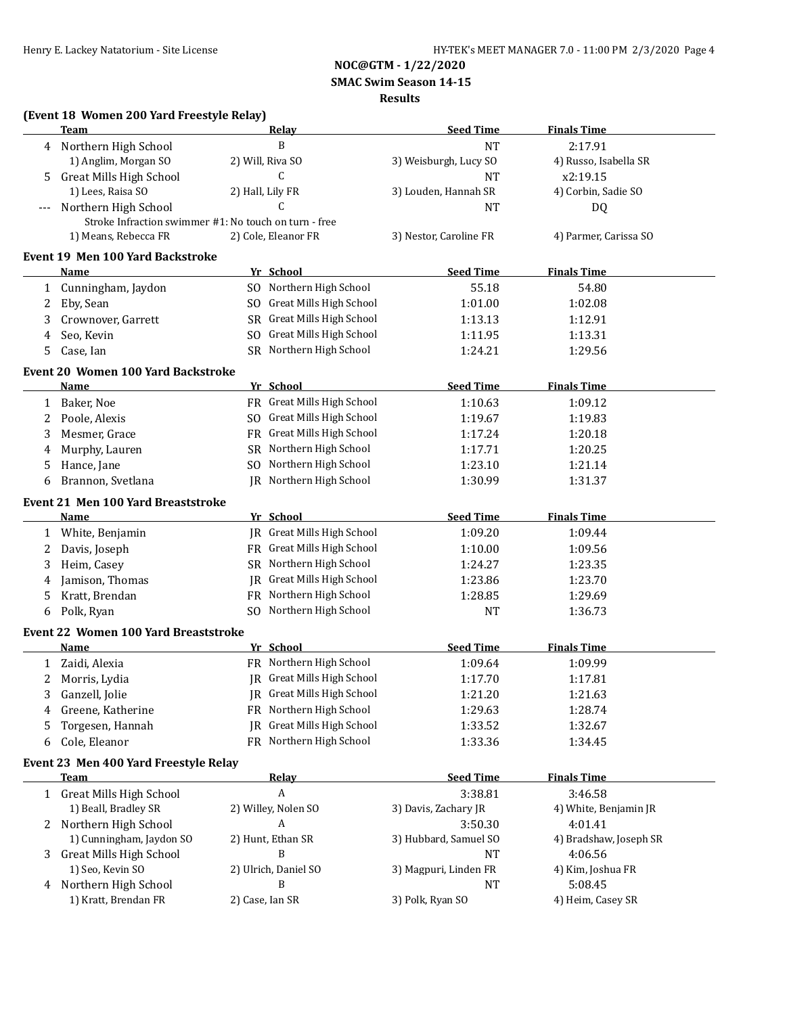**NOC@GTM - 1/22/2020**

 **SMAC Swim Season 14-15**

**Results**

## **(Event 18 Women 200 Yard Freestyle Relay)**

|   | <b>Team</b>                                 | <b>Relay</b>                                          | <b>Seed Time</b>       | <b>Finals Time</b>     |
|---|---------------------------------------------|-------------------------------------------------------|------------------------|------------------------|
| 4 | Northern High School                        | B                                                     | <b>NT</b>              | 2:17.91                |
|   | 1) Anglim, Morgan SO                        | 2) Will, Riva SO                                      | 3) Weisburgh, Lucy SO  | 4) Russo, Isabella SR  |
| 5 | <b>Great Mills High School</b>              | C                                                     | NT                     | x2:19.15               |
|   | 1) Lees, Raisa SO                           | 2) Hall, Lily FR                                      | 3) Louden, Hannah SR   | 4) Corbin, Sadie SO    |
|   | Northern High School                        | C                                                     | NT                     | DQ                     |
|   |                                             | Stroke Infraction swimmer #1: No touch on turn - free |                        |                        |
|   | 1) Means, Rebecca FR                        | 2) Cole, Eleanor FR                                   | 3) Nestor, Caroline FR | 4) Parmer, Carissa SO  |
|   | Event 19 Men 100 Yard Backstroke            |                                                       |                        |                        |
|   | Name                                        | Yr School                                             | <b>Seed Time</b>       | <b>Finals Time</b>     |
| 1 | Cunningham, Jaydon                          | SO Northern High School                               | 55.18                  | 54.80                  |
| 2 | Eby, Sean                                   | SO Great Mills High School                            | 1:01.00                | 1:02.08                |
| 3 | Crownover, Garrett                          | SR Great Mills High School                            | 1:13.13                | 1:12.91                |
| 4 | Seo, Kevin                                  | SO Great Mills High School                            | 1:11.95                | 1:13.31                |
| 5 | Case, Ian                                   | SR Northern High School                               | 1:24.21                | 1:29.56                |
|   |                                             |                                                       |                        |                        |
|   | <b>Event 20 Women 100 Yard Backstroke</b>   |                                                       | <b>Seed Time</b>       |                        |
|   | Name                                        | Yr School                                             |                        | <b>Finals Time</b>     |
| 1 | Baker, Noe                                  | FR Great Mills High School                            | 1:10.63                | 1:09.12                |
| 2 | Poole, Alexis                               | SO Great Mills High School                            | 1:19.67                | 1:19.83                |
| 3 | Mesmer, Grace                               | FR Great Mills High School<br>SR Northern High School | 1:17.24                | 1:20.18                |
| 4 | Murphy, Lauren                              | SO Northern High School                               | 1:17.71                | 1:20.25                |
| 5 | Hance, Jane                                 | JR Northern High School                               | 1:23.10                | 1:21.14                |
| 6 | Brannon, Svetlana                           |                                                       | 1:30.99                | 1:31.37                |
|   | <b>Event 21 Men 100 Yard Breaststroke</b>   |                                                       |                        |                        |
|   | Name                                        | Yr School                                             | <b>Seed Time</b>       | <b>Finals Time</b>     |
| 1 | White, Benjamin                             | <b>IR</b> Great Mills High School                     | 1:09.20                | 1:09.44                |
| 2 | Davis, Joseph                               | FR Great Mills High School                            | 1:10.00                | 1:09.56                |
| 3 | Heim, Casey                                 | SR Northern High School                               | 1:24.27                | 1:23.35                |
| 4 | Jamison, Thomas                             | JR Great Mills High School                            | 1:23.86                | 1:23.70                |
| 5 | Kratt, Brendan                              | FR Northern High School                               | 1:28.85                | 1:29.69                |
| 6 | Polk, Ryan                                  | SO Northern High School                               | <b>NT</b>              | 1:36.73                |
|   | <b>Event 22 Women 100 Yard Breaststroke</b> |                                                       |                        |                        |
|   | Name                                        | Yr School                                             | <b>Seed Time</b>       | <b>Finals Time</b>     |
| 1 | Zaidi, Alexia                               | FR Northern High School                               | 1:09.64                | 1:09.99                |
| 2 | Morris, Lydia                               | <b>IR</b> Great Mills High School                     | 1:17.70                | 1:17.81                |
|   | 3 Ganzell, Jolie                            | JR Great Mills High School                            | 1:21.20                | 1:21.63                |
| 4 | Greene, Katherine                           | FR Northern High School                               | 1:29.63                | 1:28.74                |
| 5 | Torgesen, Hannah                            | JR Great Mills High School                            | 1:33.52                | 1:32.67                |
| 6 | Cole, Eleanor                               | FR Northern High School                               | 1:33.36                | 1:34.45                |
|   | Event 23 Men 400 Yard Freestyle Relay       |                                                       |                        |                        |
|   | <b>Team</b>                                 | <b>Relay</b>                                          | <b>Seed Time</b>       | <b>Finals Time</b>     |
|   | 1 Great Mills High School                   | A                                                     | 3:38.81                | 3:46.58                |
|   | 1) Beall, Bradley SR                        | 2) Willey, Nolen SO                                   | 3) Davis, Zachary JR   | 4) White, Benjamin JR  |
|   | Northern High School                        | A                                                     | 3:50.30                | 4:01.41                |
|   | 1) Cunningham, Jaydon SO                    | 2) Hunt, Ethan SR                                     | 3) Hubbard, Samuel SO  | 4) Bradshaw, Joseph SR |
|   | <b>Great Mills High School</b>              | B                                                     | NT                     | 4:06.56                |
|   | 1) Seo, Kevin SO                            | 2) Ulrich, Daniel SO                                  | 3) Magpuri, Linden FR  | 4) Kim, Joshua FR      |
|   | 4 Northern High School                      | B                                                     | NT                     | 5:08.45                |
|   | 1) Kratt, Brendan FR                        | 2) Case, Ian SR                                       | 3) Polk, Ryan SO       | 4) Heim, Casey SR      |
|   |                                             |                                                       |                        |                        |